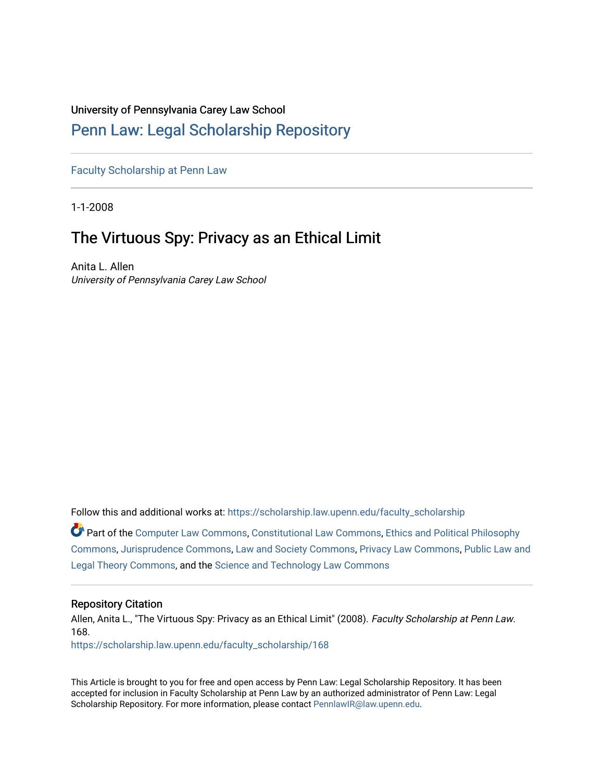## University of Pennsylvania Carey Law School

## [Penn Law: Legal Scholarship Repository](https://scholarship.law.upenn.edu/)

[Faculty Scholarship at Penn Law](https://scholarship.law.upenn.edu/faculty_scholarship)

1-1-2008

# The Virtuous Spy: Privacy as an Ethical Limit

Anita L. Allen University of Pennsylvania Carey Law School

Follow this and additional works at: [https://scholarship.law.upenn.edu/faculty\\_scholarship](https://scholarship.law.upenn.edu/faculty_scholarship?utm_source=scholarship.law.upenn.edu%2Ffaculty_scholarship%2F168&utm_medium=PDF&utm_campaign=PDFCoverPages) 

Part of the [Computer Law Commons,](http://network.bepress.com/hgg/discipline/837?utm_source=scholarship.law.upenn.edu%2Ffaculty_scholarship%2F168&utm_medium=PDF&utm_campaign=PDFCoverPages) [Constitutional Law Commons,](http://network.bepress.com/hgg/discipline/589?utm_source=scholarship.law.upenn.edu%2Ffaculty_scholarship%2F168&utm_medium=PDF&utm_campaign=PDFCoverPages) [Ethics and Political Philosophy](http://network.bepress.com/hgg/discipline/529?utm_source=scholarship.law.upenn.edu%2Ffaculty_scholarship%2F168&utm_medium=PDF&utm_campaign=PDFCoverPages)  [Commons](http://network.bepress.com/hgg/discipline/529?utm_source=scholarship.law.upenn.edu%2Ffaculty_scholarship%2F168&utm_medium=PDF&utm_campaign=PDFCoverPages), [Jurisprudence Commons,](http://network.bepress.com/hgg/discipline/610?utm_source=scholarship.law.upenn.edu%2Ffaculty_scholarship%2F168&utm_medium=PDF&utm_campaign=PDFCoverPages) [Law and Society Commons](http://network.bepress.com/hgg/discipline/853?utm_source=scholarship.law.upenn.edu%2Ffaculty_scholarship%2F168&utm_medium=PDF&utm_campaign=PDFCoverPages), [Privacy Law Commons](http://network.bepress.com/hgg/discipline/1234?utm_source=scholarship.law.upenn.edu%2Ffaculty_scholarship%2F168&utm_medium=PDF&utm_campaign=PDFCoverPages), [Public Law and](http://network.bepress.com/hgg/discipline/871?utm_source=scholarship.law.upenn.edu%2Ffaculty_scholarship%2F168&utm_medium=PDF&utm_campaign=PDFCoverPages) [Legal Theory Commons,](http://network.bepress.com/hgg/discipline/871?utm_source=scholarship.law.upenn.edu%2Ffaculty_scholarship%2F168&utm_medium=PDF&utm_campaign=PDFCoverPages) and the [Science and Technology Law Commons](http://network.bepress.com/hgg/discipline/875?utm_source=scholarship.law.upenn.edu%2Ffaculty_scholarship%2F168&utm_medium=PDF&utm_campaign=PDFCoverPages) 

## Repository Citation

Allen, Anita L., "The Virtuous Spy: Privacy as an Ethical Limit" (2008). Faculty Scholarship at Penn Law. 168.

[https://scholarship.law.upenn.edu/faculty\\_scholarship/168](https://scholarship.law.upenn.edu/faculty_scholarship/168?utm_source=scholarship.law.upenn.edu%2Ffaculty_scholarship%2F168&utm_medium=PDF&utm_campaign=PDFCoverPages) 

This Article is brought to you for free and open access by Penn Law: Legal Scholarship Repository. It has been accepted for inclusion in Faculty Scholarship at Penn Law by an authorized administrator of Penn Law: Legal Scholarship Repository. For more information, please contact [PennlawIR@law.upenn.edu.](mailto:PennlawIR@law.upenn.edu)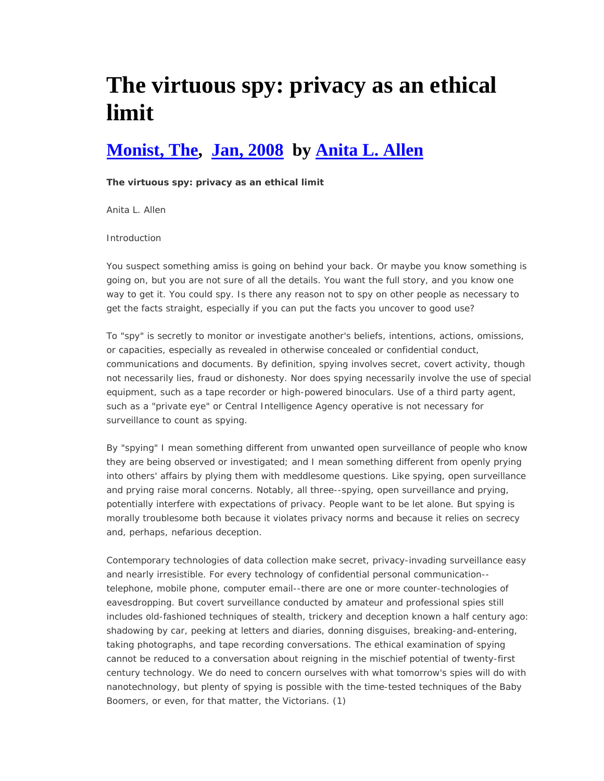# **The virtuous spy: privacy as an ethical limit**

# **Monist, The, Jan, 2008 by Anita L. Allen**

### **The virtuous spy: privacy as an ethical limit**

Anita L. Allen

Introduction

You suspect something amiss is going on behind your back. Or maybe you know something is going on, but you are not sure of all the details. You want the full story, and you know one way to get it. You could spy. Is there any reason not to spy on other people as necessary to get the facts straight, especially if you can put the facts you uncover to good use?

To "spy" is secretly to monitor or investigate another's beliefs, intentions, actions, omissions, or capacities, especially as revealed in otherwise concealed or confidential conduct, communications and documents. By definition, spying involves secret, covert activity, though not necessarily lies, fraud or dishonesty. Nor does spying necessarily involve the use of special equipment, such as a tape recorder or high-powered binoculars. Use of a third party agent, such as a "private eye" or Central Intelligence Agency operative is not necessary for surveillance to count as spying.

By "spying" I mean something different from unwanted open surveillance of people who know they are being observed or investigated; and I mean something different from openly prying into others' affairs by plying them with meddlesome questions. Like spying, open surveillance and prying raise moral concerns. Notably, all three--spying, open surveillance and prying, potentially interfere with expectations of privacy. People want to be let alone. But spying is morally troublesome both because it violates privacy norms and because it relies on secrecy and, perhaps, nefarious deception.

Contemporary technologies of data collection make secret, privacy-invading surveillance easy and nearly irresistible. For every technology of confidential personal communication- telephone, mobile phone, computer email--there are one or more counter-technologies of eavesdropping. But covert surveillance conducted by amateur and professional spies still includes old-fashioned techniques of stealth, trickery and deception known a half century ago: shadowing by car, peeking at letters and diaries, donning disguises, breaking-and-entering, taking photographs, and tape recording conversations. The ethical examination of spying cannot be reduced to a conversation about reigning in the mischief potential of twenty-first century technology. We do need to concern ourselves with what tomorrow's spies will do with nanotechnology, but plenty of spying is possible with the time-tested techniques of the Baby Boomers, or even, for that matter, the Victorians. (1)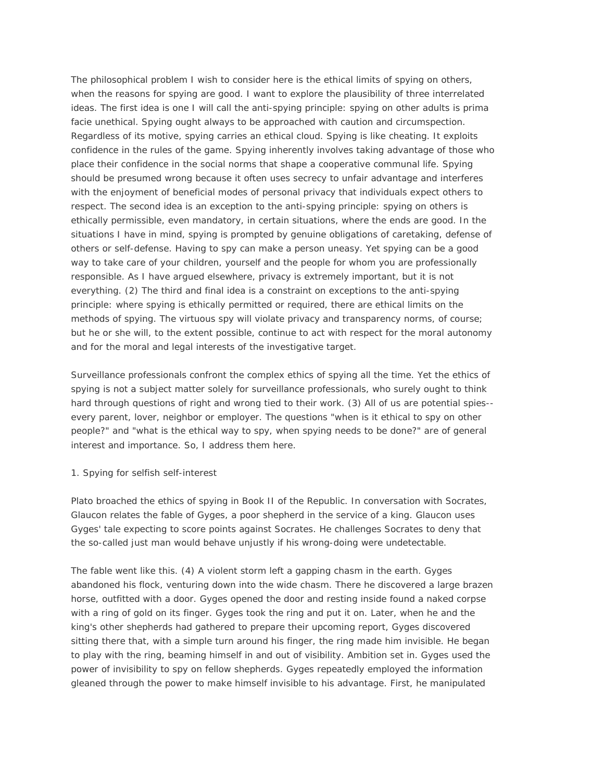The philosophical problem I wish to consider here is the ethical limits of spying on others, when the reasons for spying are good. I want to explore the plausibility of three interrelated ideas. The first idea is one I will call the anti-spying principle: spying on other adults is prima facie unethical. Spying ought always to be approached with caution and circumspection. Regardless of its motive, spying carries an ethical cloud. Spying is like cheating. It exploits confidence in the rules of the game. Spying inherently involves taking advantage of those who place their confidence in the social norms that shape a cooperative communal life. Spying should be presumed wrong because it often uses secrecy to unfair advantage and interferes with the enjoyment of beneficial modes of personal privacy that individuals expect others to respect. The second idea is an exception to the anti-spying principle: spying on others is ethically permissible, even mandatory, in certain situations, where the ends are good. In the situations I have in mind, spying is prompted by genuine obligations of caretaking, defense of others or self-defense. Having to spy can make a person uneasy. Yet spying can be a good way to take care of your children, yourself and the people for whom you are professionally responsible. As I have argued elsewhere, privacy is extremely important, but it is not everything. (2) The third and final idea is a constraint on exceptions to the anti-spying principle: where spying is ethically permitted or required, there are ethical limits on the methods of spying. The virtuous spy will violate privacy and transparency norms, of course; but he or she will, to the extent possible, continue to act with respect for the moral autonomy and for the moral and legal interests of the investigative target.

Surveillance professionals confront the complex ethics of spying all the time. Yet the ethics of spying is not a subject matter solely for surveillance professionals, who surely ought to think hard through questions of right and wrong tied to their work. (3) All of us are potential spies-every parent, lover, neighbor or employer. The questions "when is it ethical to spy on other people?" and "what is the ethical way to spy, when spying needs to be done?" are of general interest and importance. So, I address them here.

#### 1. Spying for selfish self-interest

Plato broached the ethics of spying in Book II of the Republic. In conversation with Socrates, Glaucon relates the fable of Gyges, a poor shepherd in the service of a king. Glaucon uses Gyges' tale expecting to score points against Socrates. He challenges Socrates to deny that the so-called just man would behave unjustly if his wrong-doing were undetectable.

The fable went like this. (4) A violent storm left a gapping chasm in the earth. Gyges abandoned his flock, venturing down into the wide chasm. There he discovered a large brazen horse, outfitted with a door. Gyges opened the door and resting inside found a naked corpse with a ring of gold on its finger. Gyges took the ring and put it on. Later, when he and the king's other shepherds had gathered to prepare their upcoming report, Gyges discovered sitting there that, with a simple turn around his finger, the ring made him invisible. He began to play with the ring, beaming himself in and out of visibility. Ambition set in. Gyges used the power of invisibility to spy on fellow shepherds. Gyges repeatedly employed the information gleaned through the power to make himself invisible to his advantage. First, he manipulated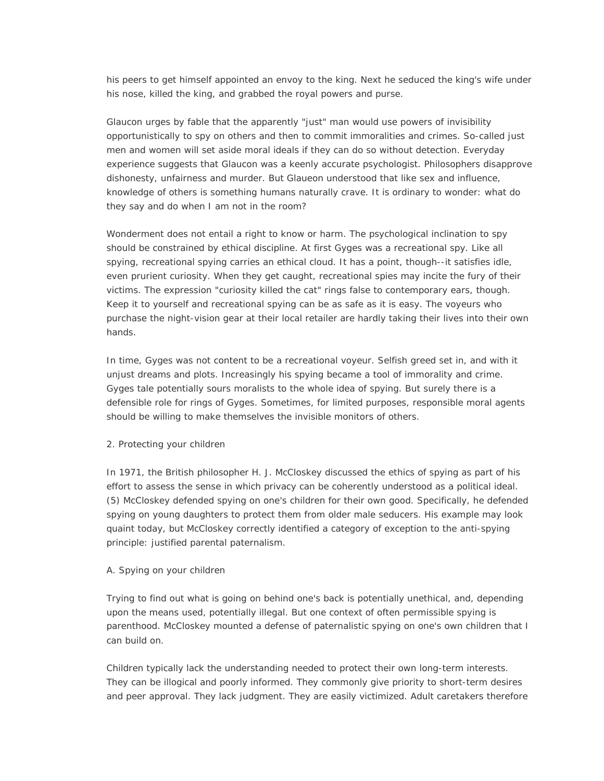his peers to get himself appointed an envoy to the king. Next he seduced the king's wife under his nose, killed the king, and grabbed the royal powers and purse.

Glaucon urges by fable that the apparently "just" man would use powers of invisibility opportunistically to spy on others and then to commit immoralities and crimes. So-called just men and women will set aside moral ideals if they can do so without detection. Everyday experience suggests that Glaucon was a keenly accurate psychologist. Philosophers disapprove dishonesty, unfairness and murder. But Glaueon understood that like sex and influence, knowledge of others is something humans naturally crave. It is ordinary to wonder: what do they say and do when I am not in the room?

Wonderment does not entail a right to know or harm. The psychological inclination to spy should be constrained by ethical discipline. At first Gyges was a recreational spy. Like all spying, recreational spying carries an ethical cloud. It has a point, though--it satisfies idle, even prurient curiosity. When they get caught, recreational spies may incite the fury of their victims. The expression "curiosity killed the cat" rings false to contemporary ears, though. Keep it to yourself and recreational spying can be as safe as it is easy. The voyeurs who purchase the night-vision gear at their local retailer are hardly taking their lives into their own hands.

In time, Gyges was not content to be a recreational voyeur. Selfish greed set in, and with it unjust dreams and plots. Increasingly his spying became a tool of immorality and crime. Gyges tale potentially sours moralists to the whole idea of spying. But surely there is a defensible role for rings of Gyges. Sometimes, for limited purposes, responsible moral agents should be willing to make themselves the invisible monitors of others.

#### 2. Protecting your children

In 1971, the British philosopher H. J. McCloskey discussed the ethics of spying as part of his effort to assess the sense in which privacy can be coherently understood as a political ideal. (5) McCloskey defended spying on one's children for their own good. Specifically, he defended spying on young daughters to protect them from older male seducers. His example may look quaint today, but McCloskey correctly identified a category of exception to the anti-spying principle: justified parental paternalism.

#### A. Spying on your children

Trying to find out what is going on behind one's back is potentially unethical, and, depending upon the means used, potentially illegal. But one context of often permissible spying is parenthood. McCloskey mounted a defense of paternalistic spying on one's own children that I can build on.

Children typically lack the understanding needed to protect their own long-term interests. They can be illogical and poorly informed. They commonly give priority to short-term desires and peer approval. They lack judgment. They are easily victimized. Adult caretakers therefore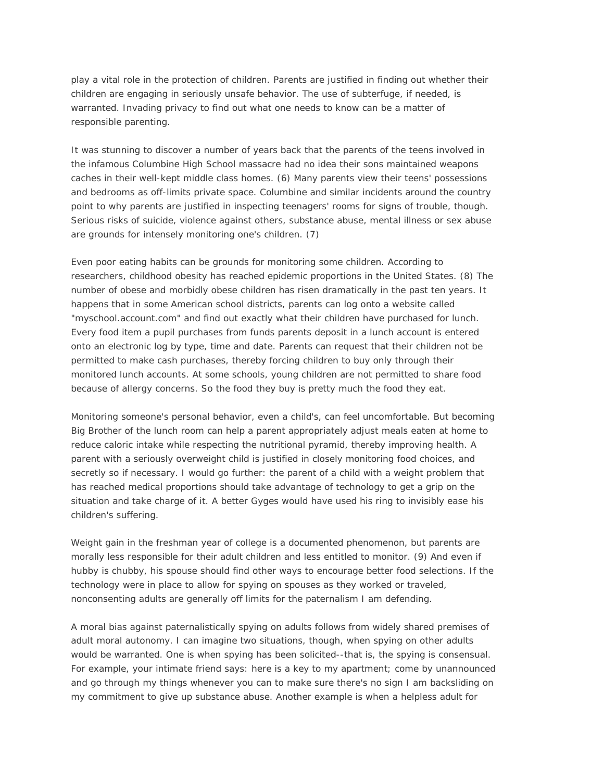play a vital role in the protection of children. Parents are justified in finding out whether their children are engaging in seriously unsafe behavior. The use of subterfuge, if needed, is warranted. Invading privacy to find out what one needs to know can be a matter of responsible parenting.

It was stunning to discover a number of years back that the parents of the teens involved in the infamous Columbine High School massacre had no idea their sons maintained weapons caches in their well-kept middle class homes. (6) Many parents view their teens' possessions and bedrooms as off-limits private space. Columbine and similar incidents around the country point to why parents are justified in inspecting teenagers' rooms for signs of trouble, though. Serious risks of suicide, violence against others, substance abuse, mental illness or sex abuse are grounds for intensely monitoring one's children. (7)

Even poor eating habits can be grounds for monitoring some children. According to researchers, childhood obesity has reached epidemic proportions in the United States. (8) The number of obese and morbidly obese children has risen dramatically in the past ten years. It happens that in some American school districts, parents can log onto a website called "myschool.account.com" and find out exactly what their children have purchased for lunch. Every food item a pupil purchases from funds parents deposit in a lunch account is entered onto an electronic log by type, time and date. Parents can request that their children not be permitted to make cash purchases, thereby forcing children to buy only through their monitored lunch accounts. At some schools, young children are not permitted to share food because of allergy concerns. So the food they buy is pretty much the food they eat.

Monitoring someone's personal behavior, even a child's, can feel uncomfortable. But becoming Big Brother of the lunch room can help a parent appropriately adjust meals eaten at home to reduce caloric intake while respecting the nutritional pyramid, thereby improving health. A parent with a seriously overweight child is justified in closely monitoring food choices, and secretly so if necessary. I would go further: the parent of a child with a weight problem that has reached medical proportions should take advantage of technology to get a grip on the situation and take charge of it. A better Gyges would have used his ring to invisibly ease his children's suffering.

Weight gain in the freshman year of college is a documented phenomenon, but parents are morally less responsible for their adult children and less entitled to monitor. (9) And even if hubby is chubby, his spouse should find other ways to encourage better food selections. If the technology were in place to allow for spying on spouses as they worked or traveled, nonconsenting adults are generally off limits for the paternalism I am defending.

A moral bias against paternalistically spying on adults follows from widely shared premises of adult moral autonomy. I can imagine two situations, though, when spying on other adults would be warranted. One is when spying has been solicited--that is, the spying is consensual. For example, your intimate friend says: here is a key to my apartment; come by unannounced and go through my things whenever you can to make sure there's no sign I am backsliding on my commitment to give up substance abuse. Another example is when a helpless adult for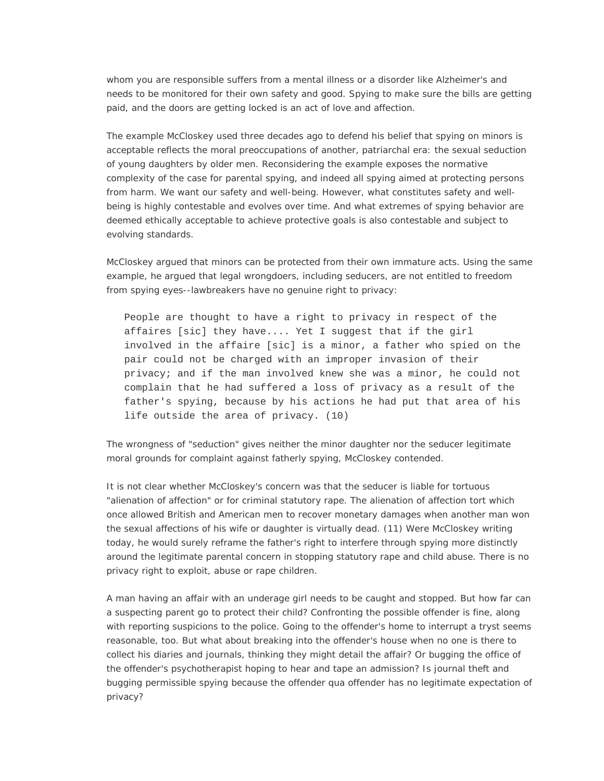whom you are responsible suffers from a mental illness or a disorder like Alzheimer's and needs to be monitored for their own safety and good. Spying to make sure the bills are getting paid, and the doors are getting locked is an act of love and affection.

The example McCloskey used three decades ago to defend his belief that spying on minors is acceptable reflects the moral preoccupations of another, patriarchal era: the sexual seduction of young daughters by older men. Reconsidering the example exposes the normative complexity of the case for parental spying, and indeed all spying aimed at protecting persons from harm. We want our safety and well-being. However, what constitutes safety and wellbeing is highly contestable and evolves over time. And what extremes of spying behavior are deemed ethically acceptable to achieve protective goals is also contestable and subject to evolving standards.

McCloskey argued that minors can be protected from their own immature acts. Using the same example, he argued that legal wrongdoers, including seducers, are not entitled to freedom from spying eyes--lawbreakers have no genuine right to privacy:

 People are thought to have a right to privacy in respect of the affaires [sic] they have.... Yet I suggest that if the girl involved in the affaire [sic] is a minor, a father who spied on the pair could not be charged with an improper invasion of their privacy; and if the man involved knew she was a minor, he could not complain that he had suffered a loss of privacy as a result of the father's spying, because by his actions he had put that area of his life outside the area of privacy. (10)

The wrongness of "seduction" gives neither the minor daughter nor the seducer legitimate moral grounds for complaint against fatherly spying, McCloskey contended.

It is not clear whether McCloskey's concern was that the seducer is liable for tortuous "alienation of affection" or for criminal statutory rape. The alienation of affection tort which once allowed British and American men to recover monetary damages when another man won the sexual affections of his wife or daughter is virtually dead. (11) Were McCloskey writing today, he would surely reframe the father's right to interfere through spying more distinctly around the legitimate parental concern in stopping statutory rape and child abuse. There is no privacy right to exploit, abuse or rape children.

A man having an affair with an underage girl needs to be caught and stopped. But how far can a suspecting parent go to protect their child? Confronting the possible offender is fine, along with reporting suspicions to the police. Going to the offender's home to interrupt a tryst seems reasonable, too. But what about breaking into the offender's house when no one is there to collect his diaries and journals, thinking they might detail the affair? Or bugging the office of the offender's psychotherapist hoping to hear and tape an admission? Is journal theft and bugging permissible spying because the offender qua offender has no legitimate expectation of privacy?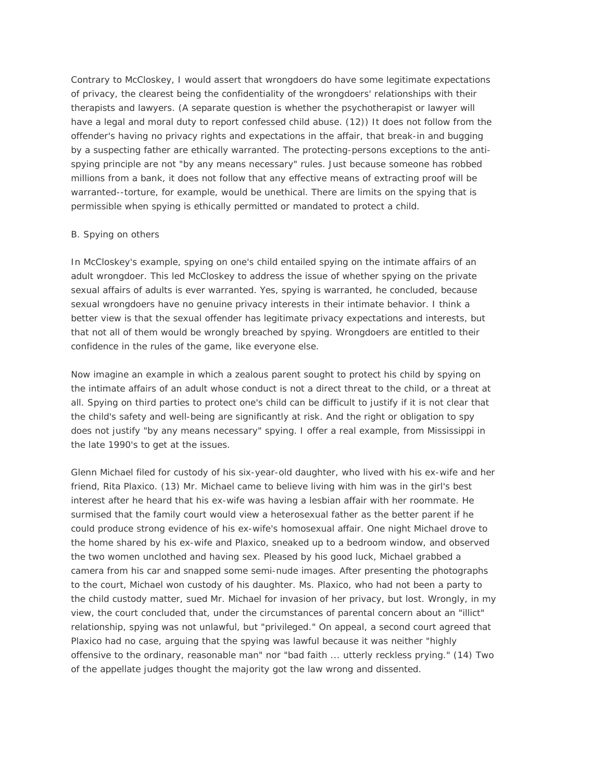Contrary to McCloskey, I would assert that wrongdoers do have some legitimate expectations of privacy, the clearest being the confidentiality of the wrongdoers' relationships with their therapists and lawyers. (A separate question is whether the psychotherapist or lawyer will have a legal and moral duty to report confessed child abuse. (12)) It does not follow from the offender's having no privacy rights and expectations in the affair, that break-in and bugging by a suspecting father are ethically warranted. The protecting-persons exceptions to the antispying principle are not "by any means necessary" rules. Just because someone has robbed millions from a bank, it does not follow that any effective means of extracting proof will be warranted--torture, for example, would be unethical. There are limits on the spying that is permissible when spying is ethically permitted or mandated to protect a child.

#### B. Spying on others

In McCloskey's example, spying on one's child entailed spying on the intimate affairs of an adult wrongdoer. This led McCloskey to address the issue of whether spying on the private sexual affairs of adults is ever warranted. Yes, spying is warranted, he concluded, because sexual wrongdoers have no genuine privacy interests in their intimate behavior. I think a better view is that the sexual offender has legitimate privacy expectations and interests, but that not all of them would be wrongly breached by spying. Wrongdoers are entitled to their confidence in the rules of the game, like everyone else.

Now imagine an example in which a zealous parent sought to protect his child by spying on the intimate affairs of an adult whose conduct is not a direct threat to the child, or a threat at all. Spying on third parties to protect one's child can be difficult to justify if it is not clear that the child's safety and well-being are significantly at risk. And the right or obligation to spy does not justify "by any means necessary" spying. I offer a real example, from Mississippi in the late 1990's to get at the issues.

Glenn Michael filed for custody of his six-year-old daughter, who lived with his ex-wife and her friend, Rita Plaxico. (13) Mr. Michael came to believe living with him was in the girl's best interest after he heard that his ex-wife was having a lesbian affair with her roommate. He surmised that the family court would view a heterosexual father as the better parent if he could produce strong evidence of his ex-wife's homosexual affair. One night Michael drove to the home shared by his ex-wife and Plaxico, sneaked up to a bedroom window, and observed the two women unclothed and having sex. Pleased by his good luck, Michael grabbed a camera from his car and snapped some semi-nude images. After presenting the photographs to the court, Michael won custody of his daughter. Ms. Plaxico, who had not been a party to the child custody matter, sued Mr. Michael for invasion of her privacy, but lost. Wrongly, in my view, the court concluded that, under the circumstances of parental concern about an "illict" relationship, spying was not unlawful, but "privileged." On appeal, a second court agreed that Plaxico had no case, arguing that the spying was lawful because it was neither "highly offensive to the ordinary, reasonable man" nor "bad faith ... utterly reckless prying." (14) Two of the appellate judges thought the majority got the law wrong and dissented.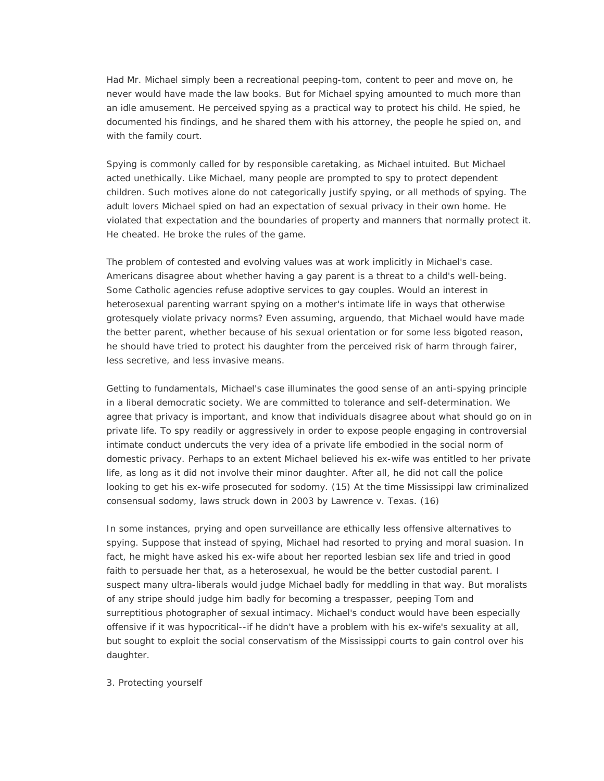Had Mr. Michael simply been a recreational peeping-tom, content to peer and move on, he never would have made the law books. But for Michael spying amounted to much more than an idle amusement. He perceived spying as a practical way to protect his child. He spied, he documented his findings, and he shared them with his attorney, the people he spied on, and with the family court.

Spying is commonly called for by responsible caretaking, as Michael intuited. But Michael acted unethically. Like Michael, many people are prompted to spy to protect dependent children. Such motives alone do not categorically justify spying, or all methods of spying. The adult lovers Michael spied on had an expectation of sexual privacy in their own home. He violated that expectation and the boundaries of property and manners that normally protect it. He cheated. He broke the rules of the game.

The problem of contested and evolving values was at work implicitly in Michael's case. Americans disagree about whether having a gay parent is a threat to a child's well-being. Some Catholic agencies refuse adoptive services to gay couples. Would an interest in heterosexual parenting warrant spying on a mother's intimate life in ways that otherwise grotesquely violate privacy norms? Even assuming, arguendo, that Michael would have made the better parent, whether because of his sexual orientation or for some less bigoted reason, he should have tried to protect his daughter from the perceived risk of harm through fairer, less secretive, and less invasive means.

Getting to fundamentals, Michael's case illuminates the good sense of an anti-spying principle in a liberal democratic society. We are committed to tolerance and self-determination. We agree that privacy is important, and know that individuals disagree about what should go on in private life. To spy readily or aggressively in order to expose people engaging in controversial intimate conduct undercuts the very idea of a private life embodied in the social norm of domestic privacy. Perhaps to an extent Michael believed his ex-wife was entitled to her private life, as long as it did not involve their minor daughter. After all, he did not call the police looking to get his ex-wife prosecuted for sodomy. (15) At the time Mississippi law criminalized consensual sodomy, laws struck down in 2003 by Lawrence v. Texas. (16)

In some instances, prying and open surveillance are ethically less offensive alternatives to spying. Suppose that instead of spying, Michael had resorted to prying and moral suasion. In fact, he might have asked his ex-wife about her reported lesbian sex life and tried in good faith to persuade her that, as a heterosexual, he would be the better custodial parent. I suspect many ultra-liberals would judge Michael badly for meddling in that way. But moralists of any stripe should judge him badly for becoming a trespasser, peeping Tom and surreptitious photographer of sexual intimacy. Michael's conduct would have been especially offensive if it was hypocritical--if he didn't have a problem with his ex-wife's sexuality at all, but sought to exploit the social conservatism of the Mississippi courts to gain control over his daughter.

3. Protecting yourself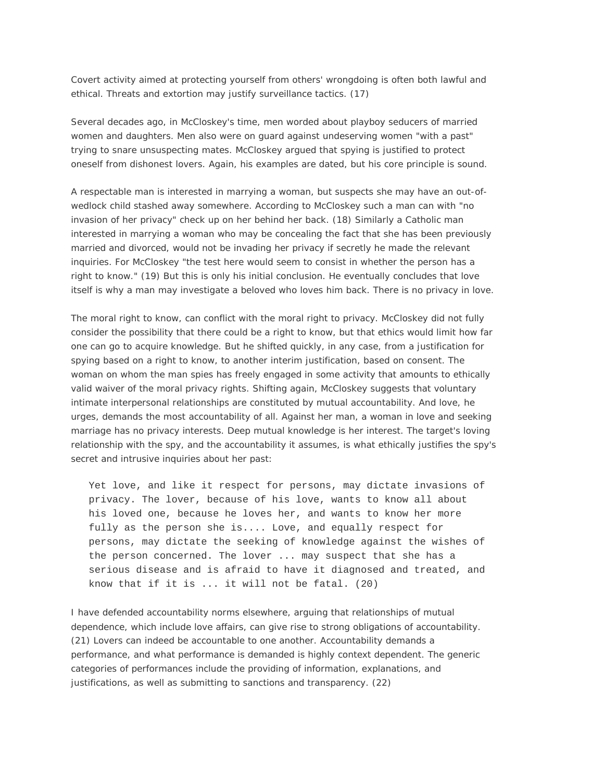Covert activity aimed at protecting yourself from others' wrongdoing is often both lawful and ethical. Threats and extortion may justify surveillance tactics. (17)

Several decades ago, in McCloskey's time, men worded about playboy seducers of married women and daughters. Men also were on guard against undeserving women "with a past" trying to snare unsuspecting mates. McCloskey argued that spying is justified to protect oneself from dishonest lovers. Again, his examples are dated, but his core principle is sound.

A respectable man is interested in marrying a woman, but suspects she may have an out-ofwedlock child stashed away somewhere. According to McCloskey such a man can with "no invasion of her privacy" check up on her behind her back. (18) Similarly a Catholic man interested in marrying a woman who may be concealing the fact that she has been previously married and divorced, would not be invading her privacy if secretly he made the relevant inquiries. For McCloskey "the test here would seem to consist in whether the person has a right to know." (19) But this is only his initial conclusion. He eventually concludes that love itself is why a man may investigate a beloved who loves him back. There is no privacy in love.

The moral right to know, can conflict with the moral right to privacy. McCloskey did not fully consider the possibility that there could be a right to know, but that ethics would limit how far one can go to acquire knowledge. But he shifted quickly, in any case, from a justification for spying based on a right to know, to another interim justification, based on consent. The woman on whom the man spies has freely engaged in some activity that amounts to ethically valid waiver of the moral privacy rights. Shifting again, McCloskey suggests that voluntary intimate interpersonal relationships are constituted by mutual accountability. And love, he urges, demands the most accountability of all. Against her man, a woman in love and seeking marriage has no privacy interests. Deep mutual knowledge is her interest. The target's loving relationship with the spy, and the accountability it assumes, is what ethically justifies the spy's secret and intrusive inquiries about her past:

 Yet love, and like it respect for persons, may dictate invasions of privacy. The lover, because of his love, wants to know all about his loved one, because he loves her, and wants to know her more fully as the person she is.... Love, and equally respect for persons, may dictate the seeking of knowledge against the wishes of the person concerned. The lover ... may suspect that she has a serious disease and is afraid to have it diagnosed and treated, and know that if it is ... it will not be fatal. (20)

I have defended accountability norms elsewhere, arguing that relationships of mutual dependence, which include love affairs, can give rise to strong obligations of accountability. (21) Lovers can indeed be accountable to one another. Accountability demands a performance, and what performance is demanded is highly context dependent. The generic categories of performances include the providing of information, explanations, and justifications, as well as submitting to sanctions and transparency. (22)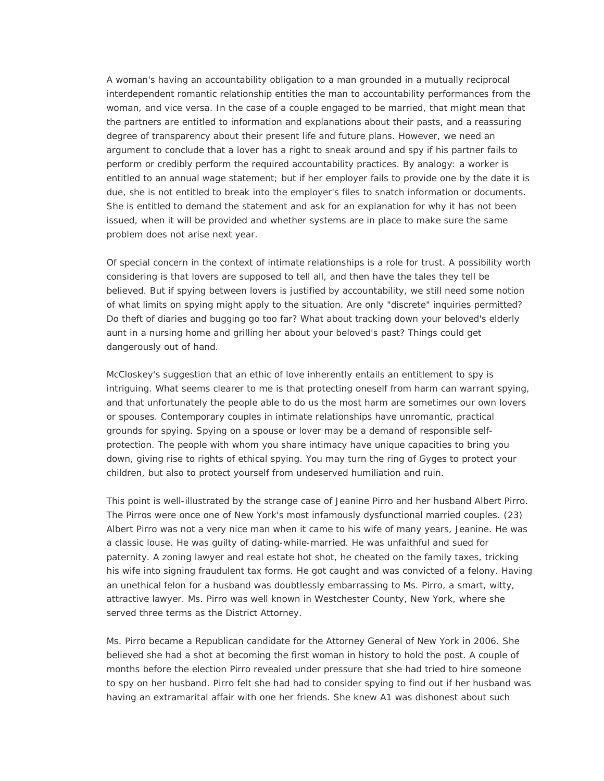A woman's having an accountability obligation to a man grounded in a mutually reciprocal interdependent romantic relationship entities the man to accountability performances from the woman, and vice versa. In the case of a couple engaged to be married, that might mean that the partners are entitled to information and explanations about their pasts, and a reassuring degree of transparency about their present life and future plans. However, we need an argument to conclude that a lover has a right to sneak around and spy if his partner fails to perform or credibly perform the required accountability practices. By analogy: a worker is entitled to an annual wage statement; but if her employer fails to provide one by the date it is due, she is not entitled to break into the employer's files to snatch information or documents. She is entitled to demand the statement and ask for an explanation for why it has not been issued, when it will be provided and whether systems are in place to make sure the same problem does not arise next year.

Of special concern in the context of intimate relationships is a role for trust. A possibility worth considering is that lovers are supposed to tell all, and then have the tales they tell be believed. But if spying between lovers is justified by accountability, we still need some notion of what limits on spying might apply to the situation. Are only "discrete" inquiries permitted? Do theft of diaries and bugging go too far? What about tracking down your beloved's elderly aunt in a nursing home and grilling her about your beloved's past? Things could get dangerously out of hand.

McCloskey's suggestion that an ethic of love inherently entails an entitlement to spy is intriguing. What seems clearer to me is that protecting oneself from harm can warrant spying, and that unfortunately the people able to do us the most harm are sometimes our own lovers or spouses. Contemporary couples in intimate relationships have unromantic, practical grounds for spying. Spying on a spouse or lover may be a demand of responsible selfprotection. The people with whom you share intimacy have unique capacities to bring you down, giving rise to rights of ethical spying. You may turn the ring of Gyges to protect your children, but also to protect yourself from undeserved humiliation and ruin.

This point is well-illustrated by the strange case of Jeanine Pirro and her husband Albert Pirro. The Pirros were once one of New York's most infamously dysfunctional married couples. (23) Albert Pirro was not a very nice man when it came to his wife of many years, Jeanine. He was a classic louse. He was guilty of dating-while-married. He was unfaithful and sued for paternity. A zoning lawyer and real estate hot shot, he cheated on the family taxes, tricking his wife into signing fraudulent tax forms. He got caught and was convicted of a felony. Having an unethical felon for a husband was doubtlessly embarrassing to Ms. Pirro, a smart, witty, attractive lawyer. Ms. Pirro was well known in Westchester County, New York, where she served three terms as the District Attorney.

Ms. Pirro became a Republican candidate for the Attorney General of New York in 2006. She believed she had a shot at becoming the first woman in history to hold the post. A couple of months before the election Pirro revealed under pressure that she had tried to hire someone to spy on her husband. Pirro felt she had had to consider spying to find out if her husband was having an extramarital affair with one her friends. She knew A1 was dishonest about such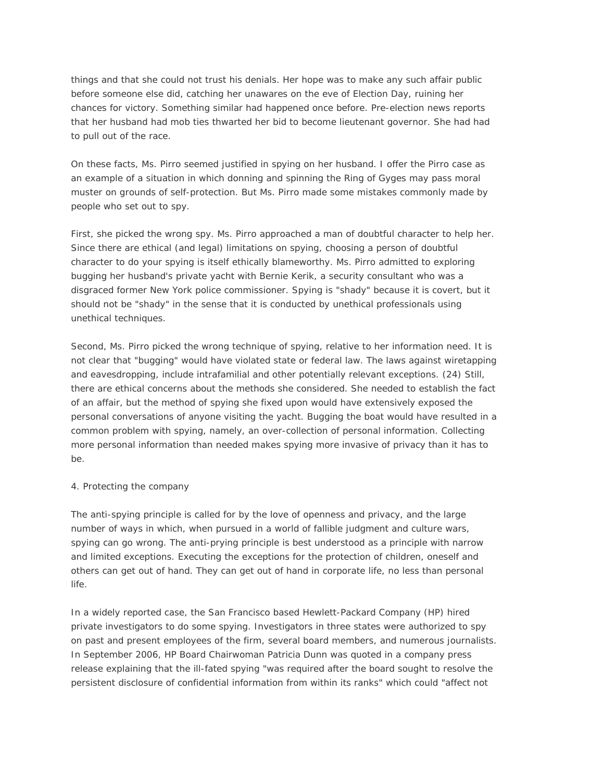things and that she could not trust his denials. Her hope was to make any such affair public before someone else did, catching her unawares on the eve of Election Day, ruining her chances for victory. Something similar had happened once before. Pre-election news reports that her husband had mob ties thwarted her bid to become lieutenant governor. She had had to pull out of the race.

On these facts, Ms. Pirro seemed justified in spying on her husband. I offer the Pirro case as an example of a situation in which donning and spinning the Ring of Gyges may pass moral muster on grounds of self-protection. But Ms. Pirro made some mistakes commonly made by people who set out to spy.

First, she picked the wrong spy. Ms. Pirro approached a man of doubtful character to help her. Since there are ethical (and legal) limitations on spying, choosing a person of doubtful character to do your spying is itself ethically blameworthy. Ms. Pirro admitted to exploring bugging her husband's private yacht with Bernie Kerik, a security consultant who was a disgraced former New York police commissioner. Spying is "shady" because it is covert, but it should not be "shady" in the sense that it is conducted by unethical professionals using unethical techniques.

Second, Ms. Pirro picked the wrong technique of spying, relative to her information need. It is not clear that "bugging" would have violated state or federal law. The laws against wiretapping and eavesdropping, include intrafamilial and other potentially relevant exceptions. (24) Still, there are ethical concerns about the methods she considered. She needed to establish the fact of an affair, but the method of spying she fixed upon would have extensively exposed the personal conversations of anyone visiting the yacht. Bugging the boat would have resulted in a common problem with spying, namely, an over-collection of personal information. Collecting more personal information than needed makes spying more invasive of privacy than it has to  $he$ 

#### 4. Protecting the company

The anti-spying principle is called for by the love of openness and privacy, and the large number of ways in which, when pursued in a world of fallible judgment and culture wars, spying can go wrong. The anti-prying principle is best understood as a principle with narrow and limited exceptions. Executing the exceptions for the protection of children, oneself and others can get out of hand. They can get out of hand in corporate life, no less than personal life.

In a widely reported case, the San Francisco based Hewlett-Packard Company (HP) hired private investigators to do some spying. Investigators in three states were authorized to spy on past and present employees of the firm, several board members, and numerous journalists. In September 2006, HP Board Chairwoman Patricia Dunn was quoted in a company press release explaining that the ill-fated spying "was required after the board sought to resolve the persistent disclosure of confidential information from within its ranks" which could "affect not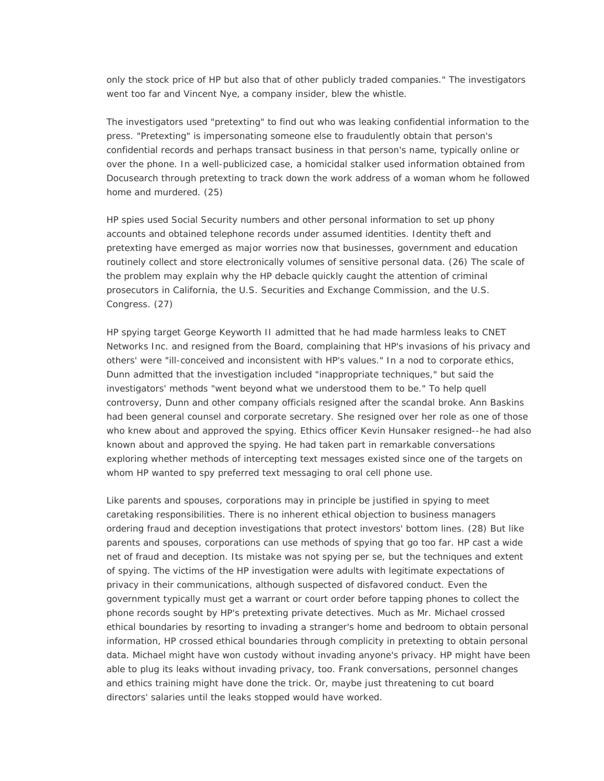only the stock price of HP but also that of other publicly traded companies." The investigators went too far and Vincent Nye, a company insider, blew the whistle.

The investigators used "pretexting" to find out who was leaking confidential information to the press. "Pretexting" is impersonating someone else to fraudulently obtain that person's confidential records and perhaps transact business in that person's name, typically online or over the phone. In a well-publicized case, a homicidal stalker used information obtained from Docusearch through pretexting to track down the work address of a woman whom he followed home and murdered. (25)

HP spies used Social Security numbers and other personal information to set up phony accounts and obtained telephone records under assumed identities. Identity theft and pretexting have emerged as major worries now that businesses, government and education routinely collect and store electronically volumes of sensitive personal data. (26) The scale of the problem may explain why the HP debacle quickly caught the attention of criminal prosecutors in California, the U.S. Securities and Exchange Commission, and the U.S. Congress. (27)

HP spying target George Keyworth II admitted that he had made harmless leaks to CNET Networks Inc. and resigned from the Board, complaining that HP's invasions of his privacy and others' were "ill-conceived and inconsistent with HP's values." In a nod to corporate ethics, Dunn admitted that the investigation included "inappropriate techniques," but said the investigators' methods "went beyond what we understood them to be." To help quell controversy, Dunn and other company officials resigned after the scandal broke. Ann Baskins had been general counsel and corporate secretary. She resigned over her role as one of those who knew about and approved the spying. Ethics officer Kevin Hunsaker resigned--he had also known about and approved the spying. He had taken part in remarkable conversations exploring whether methods of intercepting text messages existed since one of the targets on whom HP wanted to spy preferred text messaging to oral cell phone use.

Like parents and spouses, corporations may in principle be justified in spying to meet caretaking responsibilities. There is no inherent ethical objection to business managers ordering fraud and deception investigations that protect investors' bottom lines. (28) But like parents and spouses, corporations can use methods of spying that go too far. HP cast a wide net of fraud and deception. Its mistake was not spying per se, but the techniques and extent of spying. The victims of the HP investigation were adults with legitimate expectations of privacy in their communications, although suspected of disfavored conduct. Even the government typically must get a warrant or court order before tapping phones to collect the phone records sought by HP's pretexting private detectives. Much as Mr. Michael crossed ethical boundaries by resorting to invading a stranger's home and bedroom to obtain personal information, HP crossed ethical boundaries through complicity in pretexting to obtain personal data. Michael might have won custody without invading anyone's privacy. HP might have been able to plug its leaks without invading privacy, too. Frank conversations, personnel changes and ethics training might have done the trick. Or, maybe just threatening to cut board directors' salaries until the leaks stopped would have worked.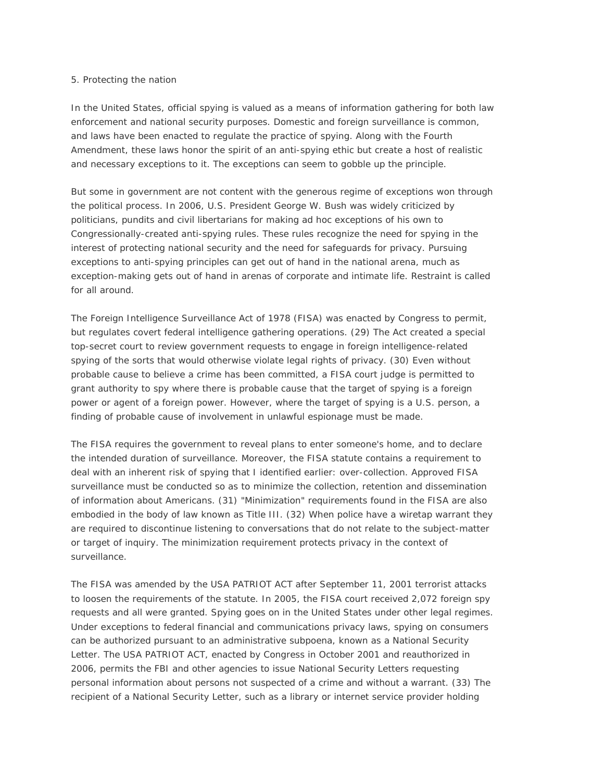#### 5. Protecting the nation

In the United States, official spying is valued as a means of information gathering for both law enforcement and national security purposes. Domestic and foreign surveillance is common, and laws have been enacted to regulate the practice of spying. Along with the Fourth Amendment, these laws honor the spirit of an anti-spying ethic but create a host of realistic and necessary exceptions to it. The exceptions can seem to gobble up the principle.

But some in government are not content with the generous regime of exceptions won through the political process. In 2006, U.S. President George W. Bush was widely criticized by politicians, pundits and civil libertarians for making ad hoc exceptions of his own to Congressionally-created anti-spying rules. These rules recognize the need for spying in the interest of protecting national security and the need for safeguards for privacy. Pursuing exceptions to anti-spying principles can get out of hand in the national arena, much as exception-making gets out of hand in arenas of corporate and intimate life. Restraint is called for all around.

The Foreign Intelligence Surveillance Act of 1978 (FISA) was enacted by Congress to permit, but regulates covert federal intelligence gathering operations. (29) The Act created a special top-secret court to review government requests to engage in foreign intelligence-related spying of the sorts that would otherwise violate legal rights of privacy. (30) Even without probable cause to believe a crime has been committed, a FISA court judge is permitted to grant authority to spy where there is probable cause that the target of spying is a foreign power or agent of a foreign power. However, where the target of spying is a U.S. person, a finding of probable cause of involvement in unlawful espionage must be made.

The FISA requires the government to reveal plans to enter someone's home, and to declare the intended duration of surveillance. Moreover, the FISA statute contains a requirement to deal with an inherent risk of spying that I identified earlier: over-collection. Approved FISA surveillance must be conducted so as to minimize the collection, retention and dissemination of information about Americans. (31) "Minimization" requirements found in the FISA are also embodied in the body of law known as Title III. (32) When police have a wiretap warrant they are required to discontinue listening to conversations that do not relate to the subject-matter or target of inquiry. The minimization requirement protects privacy in the context of surveillance.

The FISA was amended by the USA PATRIOT ACT after September 11, 2001 terrorist attacks to loosen the requirements of the statute. In 2005, the FISA court received 2,072 foreign spy requests and all were granted. Spying goes on in the United States under other legal regimes. Under exceptions to federal financial and communications privacy laws, spying on consumers can be authorized pursuant to an administrative subpoena, known as a National Security Letter. The USA PATRIOT ACT, enacted by Congress in October 2001 and reauthorized in 2006, permits the FBI and other agencies to issue National Security Letters requesting personal information about persons not suspected of a crime and without a warrant. (33) The recipient of a National Security Letter, such as a library or internet service provider holding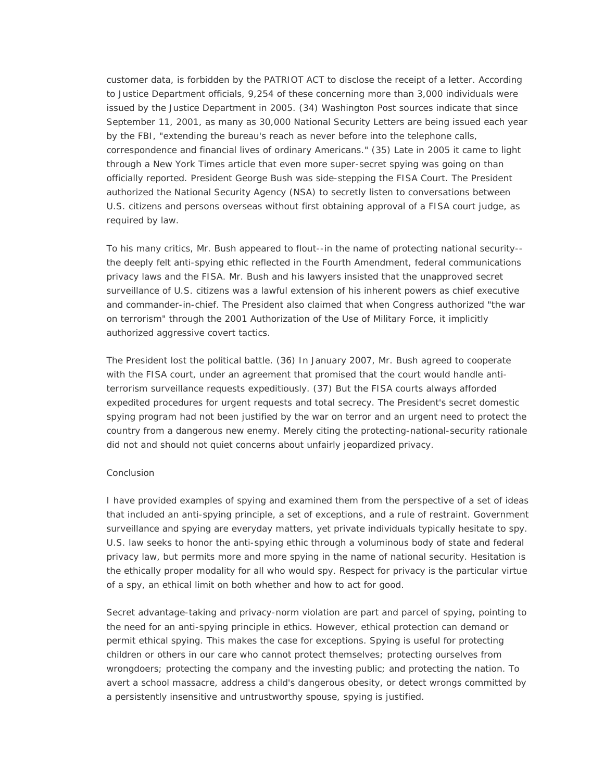customer data, is forbidden by the PATRIOT ACT to disclose the receipt of a letter. According to Justice Department officials, 9,254 of these concerning more than 3,000 individuals were issued by the Justice Department in 2005. (34) Washington Post sources indicate that since September 11, 2001, as many as 30,000 National Security Letters are being issued each year by the FBI, "extending the bureau's reach as never before into the telephone calls, correspondence and financial lives of ordinary Americans." (35) Late in 2005 it came to light through a New York Times article that even more super-secret spying was going on than officially reported. President George Bush was side-stepping the FISA Court. The President authorized the National Security Agency (NSA) to secretly listen to conversations between U.S. citizens and persons overseas without first obtaining approval of a FISA court judge, as required by law.

To his many critics, Mr. Bush appeared to flout--in the name of protecting national security- the deeply felt anti-spying ethic reflected in the Fourth Amendment, federal communications privacy laws and the FISA. Mr. Bush and his lawyers insisted that the unapproved secret surveillance of U.S. citizens was a lawful extension of his inherent powers as chief executive and commander-in-chief. The President also claimed that when Congress authorized "the war on terrorism" through the 2001 Authorization of the Use of Military Force, it implicitly authorized aggressive covert tactics.

The President lost the political battle. (36) In January 2007, Mr. Bush agreed to cooperate with the FISA court, under an agreement that promised that the court would handle antiterrorism surveillance requests expeditiously. (37) But the FISA courts always afforded expedited procedures for urgent requests and total secrecy. The President's secret domestic spying program had not been justified by the war on terror and an urgent need to protect the country from a dangerous new enemy. Merely citing the protecting-national-security rationale did not and should not quiet concerns about unfairly jeopardized privacy.

#### Conclusion

I have provided examples of spying and examined them from the perspective of a set of ideas that included an anti-spying principle, a set of exceptions, and a rule of restraint. Government surveillance and spying are everyday matters, yet private individuals typically hesitate to spy. U.S. law seeks to honor the anti-spying ethic through a voluminous body of state and federal privacy law, but permits more and more spying in the name of national security. Hesitation is the ethically proper modality for all who would spy. Respect for privacy is the particular virtue of a spy, an ethical limit on both whether and how to act for good.

Secret advantage-taking and privacy-norm violation are part and parcel of spying, pointing to the need for an anti-spying principle in ethics. However, ethical protection can demand or permit ethical spying. This makes the case for exceptions. Spying is useful for protecting children or others in our care who cannot protect themselves; protecting ourselves from wrongdoers; protecting the company and the investing public; and protecting the nation. To avert a school massacre, address a child's dangerous obesity, or detect wrongs committed by a persistently insensitive and untrustworthy spouse, spying is justified.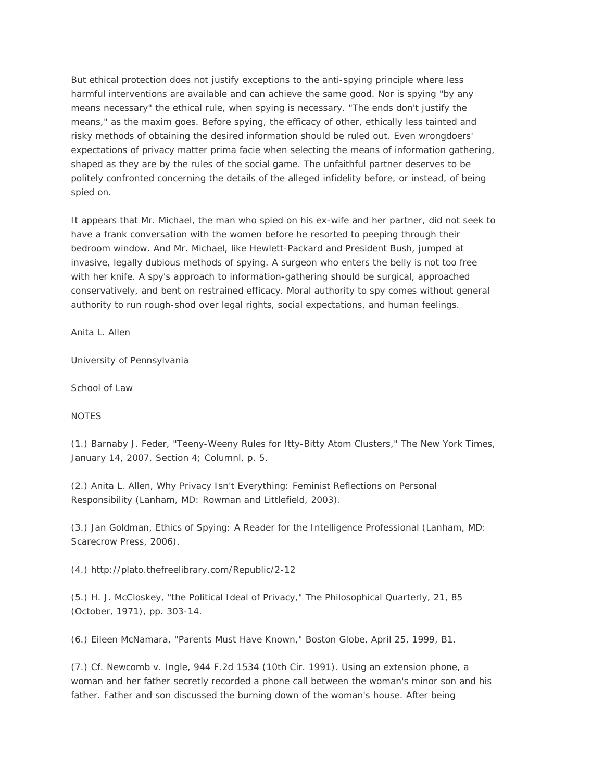But ethical protection does not justify exceptions to the anti-spying principle where less harmful interventions are available and can achieve the same good. Nor is spying "by any means necessary" the ethical rule, when spying is necessary. "The ends don't justify the means," as the maxim goes. Before spying, the efficacy of other, ethically less tainted and risky methods of obtaining the desired information should be ruled out. Even wrongdoers' expectations of privacy matter prima facie when selecting the means of information gathering, shaped as they are by the rules of the social game. The unfaithful partner deserves to be politely confronted concerning the details of the alleged infidelity before, or instead, of being spied on.

It appears that Mr. Michael, the man who spied on his ex-wife and her partner, did not seek to have a frank conversation with the women before he resorted to peeping through their bedroom window. And Mr. Michael, like Hewlett-Packard and President Bush, jumped at invasive, legally dubious methods of spying. A surgeon who enters the belly is not too free with her knife. A spy's approach to information-gathering should be surgical, approached conservatively, and bent on restrained efficacy. Moral authority to spy comes without general authority to run rough-shod over legal rights, social expectations, and human feelings.

Anita L. Allen

University of Pennsylvania

School of Law

**NOTES** 

(1.) Barnaby J. Feder, "Teeny-Weeny Rules for Itty-Bitty Atom Clusters," The New York Times, January 14, 2007, Section 4; Columnl, p. 5.

(2.) Anita L. Allen, Why Privacy Isn't Everything: Feminist Reflections on Personal Responsibility (Lanham, MD: Rowman and Littlefield, 2003).

(3.) Jan Goldman, Ethics of Spying: A Reader for the Intelligence Professional (Lanham, MD: Scarecrow Press, 2006).

(4.) http://plato.thefreelibrary.com/Republic/2-12

(5.) H. J. McCloskey, "the Political Ideal of Privacy," The Philosophical Quarterly, 21, 85 (October, 1971), pp. 303-14.

(6.) Eileen McNamara, "Parents Must Have Known," Boston Globe, April 25, 1999, B1.

(7.) Cf. Newcomb v. Ingle, 944 F.2d 1534 (10th Cir. 1991). Using an extension phone, a woman and her father secretly recorded a phone call between the woman's minor son and his father. Father and son discussed the burning down of the woman's house. After being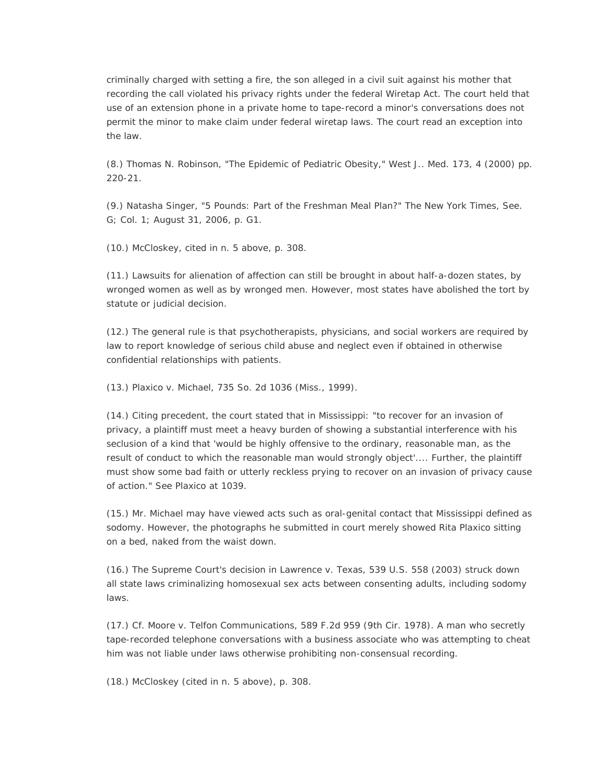criminally charged with setting a fire, the son alleged in a civil suit against his mother that recording the call violated his privacy rights under the federal Wiretap Act. The court held that use of an extension phone in a private home to tape-record a minor's conversations does not permit the minor to make claim under federal wiretap laws. The court read an exception into the law.

(8.) Thomas N. Robinson, "The Epidemic of Pediatric Obesity," West J.. Med. 173, 4 (2000) pp. 220-21.

(9.) Natasha Singer, "5 Pounds: Part of the Freshman Meal Plan?" The New York Times, See. G; Col. 1; August 31, 2006, p. G1.

(10.) McCloskey, cited in n. 5 above, p. 308.

(11.) Lawsuits for alienation of affection can still be brought in about half-a-dozen states, by wronged women as well as by wronged men. However, most states have abolished the tort by statute or judicial decision.

(12.) The general rule is that psychotherapists, physicians, and social workers are required by law to report knowledge of serious child abuse and neglect even if obtained in otherwise confidential relationships with patients.

(13.) Plaxico v. Michael, 735 So. 2d 1036 (Miss., 1999).

(14.) Citing precedent, the court stated that in Mississippi: "to recover for an invasion of privacy, a plaintiff must meet a heavy burden of showing a substantial interference with his seclusion of a kind that 'would be highly offensive to the ordinary, reasonable man, as the result of conduct to which the reasonable man would strongly object'.... Further, the plaintiff must show some bad faith or utterly reckless prying to recover on an invasion of privacy cause of action." See Plaxico at 1039.

(15.) Mr. Michael may have viewed acts such as oral-genital contact that Mississippi defined as sodomy. However, the photographs he submitted in court merely showed Rita Plaxico sitting on a bed, naked from the waist down.

(16.) The Supreme Court's decision in Lawrence v. Texas, 539 U.S. 558 (2003) struck down all state laws criminalizing homosexual sex acts between consenting adults, including sodomy laws.

(17.) Cf. Moore v. Telfon Communications, 589 F.2d 959 (9th Cir. 1978). A man who secretly tape-recorded telephone conversations with a business associate who was attempting to cheat him was not liable under laws otherwise prohibiting non-consensual recording.

(18.) McCloskey (cited in n. 5 above), p. 308.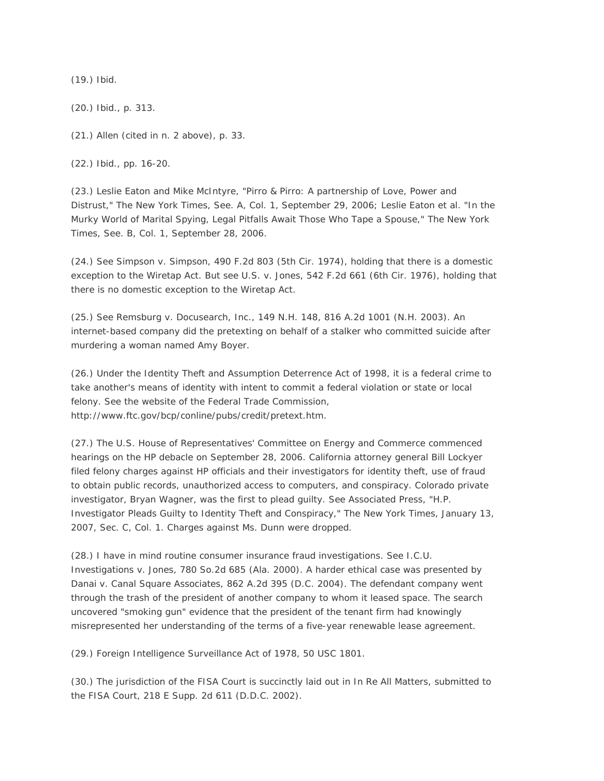(19.) Ibid.

(20.) Ibid., p. 313.

(21.) Allen (cited in n. 2 above), p. 33.

(22.) Ibid., pp. 16-20.

(23.) Leslie Eaton and Mike McIntyre, "Pirro & Pirro: A partnership of Love, Power and Distrust," The New York Times, See. A, Col. 1, September 29, 2006; Leslie Eaton et al. "In the Murky World of Marital Spying, Legal Pitfalls Await Those Who Tape a Spouse," The New York Times, See. B, Col. 1, September 28, 2006.

(24.) See Simpson v. Simpson, 490 F.2d 803 (5th Cir. 1974), holding that there is a domestic exception to the Wiretap Act. But see U.S. v. Jones, 542 F.2d 661 (6th Cir. 1976), holding that there is no domestic exception to the Wiretap Act.

(25.) See Remsburg v. Docusearch, Inc., 149 N.H. 148, 816 A.2d 1001 (N.H. 2003). An internet-based company did the pretexting on behalf of a stalker who committed suicide after murdering a woman named Amy Boyer.

(26.) Under the Identity Theft and Assumption Deterrence Act of 1998, it is a federal crime to take another's means of identity with intent to commit a federal violation or state or local felony. See the website of the Federal Trade Commission, http://www.ftc.gov/bcp/conline/pubs/credit/pretext.htm.

(27.) The U.S. House of Representatives' Committee on Energy and Commerce commenced hearings on the HP debacle on September 28, 2006. California attorney general Bill Lockyer filed felony charges against HP officials and their investigators for identity theft, use of fraud to obtain public records, unauthorized access to computers, and conspiracy. Colorado private investigator, Bryan Wagner, was the first to plead guilty. See Associated Press, "H.P. Investigator Pleads Guilty to Identity Theft and Conspiracy," The New York Times, January 13, 2007, Sec. C, Col. 1. Charges against Ms. Dunn were dropped.

(28.) I have in mind routine consumer insurance fraud investigations. See I.C.U. Investigations v. Jones, 780 So.2d 685 (Ala. 2000). A harder ethical case was presented by Danai v. Canal Square Associates, 862 A.2d 395 (D.C. 2004). The defendant company went through the trash of the president of another company to whom it leased space. The search uncovered "smoking gun" evidence that the president of the tenant firm had knowingly misrepresented her understanding of the terms of a five-year renewable lease agreement.

(29.) Foreign Intelligence Surveillance Act of 1978, 50 USC 1801.

(30.) The jurisdiction of the FISA Court is succinctly laid out in In Re All Matters, submitted to the FISA Court, 218 E Supp. 2d 611 (D.D.C. 2002).